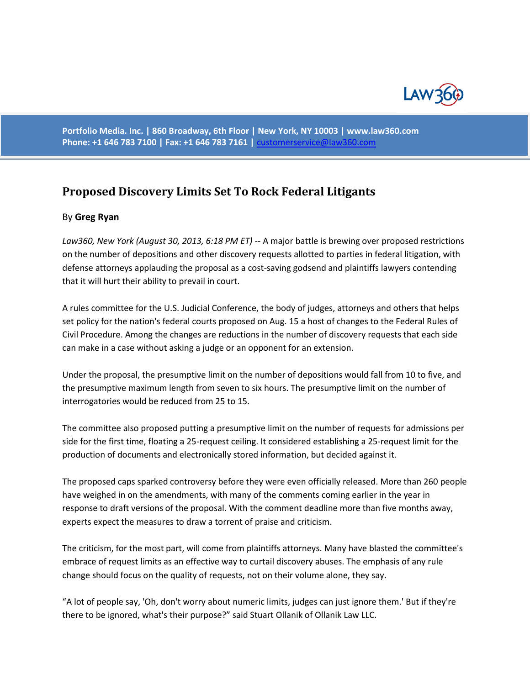

**Portfolio Media. Inc. | 860 Broadway, 6th Floor | New York, NY 10003 | www.law360.com Phone: +1 646 783 7100 | Fax: +1 646 783 7161 |** [customerservice@law360.com](mailto:customerservice@law360.com)

## **[Proposed Discovery Limits Set To Rock Federal Litigants](http://www.law360.com/articles/468586/proposed-discovery-limits-set-to-rock-federal-litigants?or_pk=412f78b0-563c-4e6e-90c0-20c5b9da775d&utm_source=campaign-reports&utm_medium=email&utm_campaign=bowman-and-brooke-campaign)**

## By **Greg Ryan**

*Law360, New York (August 30, 2013, 6:18 PM ET)* -- A major battle is brewing over proposed restrictions on the number of depositions and other discovery requests allotted to parties in federal litigation, with defense attorneys applauding the proposal as a cost-saving godsend and plaintiffs lawyers contending that it will hurt their ability to prevail in court.

A rules committee for the U.S. Judicial Conference, the body of judges, attorneys and others that helps set policy for the nation's federal courts proposed on Aug. 15 a host of changes to the Federal Rules of Civil Procedure. Among the changes are reductions in the number of discovery requests that each side can make in a case without asking a judge or an opponent for an extension.

Under the proposal, the presumptive limit on the number of depositions would fall from 10 to five, and the presumptive maximum length from seven to six hours. The presumptive limit on the number of interrogatories would be reduced from 25 to 15.

The committee also proposed putting a presumptive limit on the number of requests for admissions per side for the first time, floating a 25-request ceiling. It considered establishing a 25-request limit for the production of documents and electronically stored information, but decided against it.

The proposed caps sparked controversy before they were even officially released. More than 260 people have weighed in on the amendments, with many of the comments coming earlier in the year in response to draft versions of the proposal. With the comment deadline more than five months away, experts expect the measures to draw a torrent of praise and criticism.

The criticism, for the most part, will come from plaintiffs attorneys. Many have blasted the committee's embrace of request limits as an effective way to curtail discovery abuses. The emphasis of any rule change should focus on the quality of requests, not on their volume alone, they say.

"A lot of people say, 'Oh, don't worry about numeric limits, judges can just ignore them.' But if they're there to be ignored, what's their purpose?" said Stuart Ollanik of Ollanik Law LLC.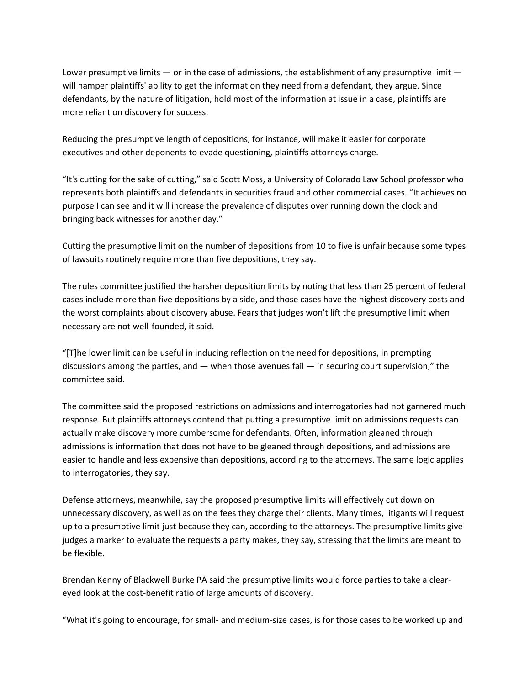Lower presumptive limits  $-$  or in the case of admissions, the establishment of any presumptive limit  $$ will hamper plaintiffs' ability to get the information they need from a defendant, they argue. Since defendants, by the nature of litigation, hold most of the information at issue in a case, plaintiffs are more reliant on discovery for success.

Reducing the presumptive length of depositions, for instance, will make it easier for corporate executives and other deponents to evade questioning, plaintiffs attorneys charge.

"It's cutting for the sake of cutting," said Scott Moss, a University of Colorado Law School professor who represents both plaintiffs and defendants in securities fraud and other commercial cases. "It achieves no purpose I can see and it will increase the prevalence of disputes over running down the clock and bringing back witnesses for another day."

Cutting the presumptive limit on the number of depositions from 10 to five is unfair because some types of lawsuits routinely require more than five depositions, they say.

The rules committee justified the harsher deposition limits by noting that less than 25 percent of federal cases include more than five depositions by a side, and those cases have the highest discovery costs and the worst complaints about discovery abuse. Fears that judges won't lift the presumptive limit when necessary are not well-founded, it said.

"[T]he lower limit can be useful in inducing reflection on the need for depositions, in prompting discussions among the parties, and — when those avenues fail — in securing court supervision," the committee said.

The committee said the proposed restrictions on admissions and interrogatories had not garnered much response. But plaintiffs attorneys contend that putting a presumptive limit on admissions requests can actually make discovery more cumbersome for defendants. Often, information gleaned through admissions is information that does not have to be gleaned through depositions, and admissions are easier to handle and less expensive than depositions, according to the attorneys. The same logic applies to interrogatories, they say.

Defense attorneys, meanwhile, say the proposed presumptive limits will effectively cut down on unnecessary discovery, as well as on the fees they charge their clients. Many times, litigants will request up to a presumptive limit just because they can, according to the attorneys. The presumptive limits give judges a marker to evaluate the requests a party makes, they say, stressing that the limits are meant to be flexible.

Brendan Kenny of Blackwell Burke PA said the presumptive limits would force parties to take a cleareyed look at the cost-benefit ratio of large amounts of discovery.

"What it's going to encourage, for small- and medium-size cases, is for those cases to be worked up and